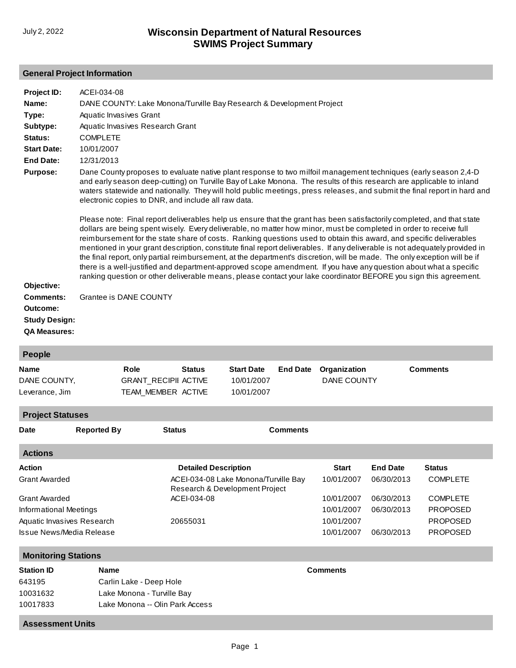#### **General Project Information**

| Project ID:                                                                               | ACEI-034-08                                                                                                                                                                                                                                                                                                                                                                                                                                                                                                                                                                                                                                                                                                                                                                                                                                                                                        |                                  |                             |                                                                        |                 |                    |                 |                 |  |  |
|-------------------------------------------------------------------------------------------|----------------------------------------------------------------------------------------------------------------------------------------------------------------------------------------------------------------------------------------------------------------------------------------------------------------------------------------------------------------------------------------------------------------------------------------------------------------------------------------------------------------------------------------------------------------------------------------------------------------------------------------------------------------------------------------------------------------------------------------------------------------------------------------------------------------------------------------------------------------------------------------------------|----------------------------------|-----------------------------|------------------------------------------------------------------------|-----------------|--------------------|-----------------|-----------------|--|--|
| Name:                                                                                     | DANE COUNTY: Lake Monona/Turville Bay Research & Development Project                                                                                                                                                                                                                                                                                                                                                                                                                                                                                                                                                                                                                                                                                                                                                                                                                               |                                  |                             |                                                                        |                 |                    |                 |                 |  |  |
| Type:                                                                                     |                                                                                                                                                                                                                                                                                                                                                                                                                                                                                                                                                                                                                                                                                                                                                                                                                                                                                                    | Aquatic Invasives Grant          |                             |                                                                        |                 |                    |                 |                 |  |  |
| Subtype:                                                                                  |                                                                                                                                                                                                                                                                                                                                                                                                                                                                                                                                                                                                                                                                                                                                                                                                                                                                                                    | Aquatic Invasives Research Grant |                             |                                                                        |                 |                    |                 |                 |  |  |
| Status:                                                                                   |                                                                                                                                                                                                                                                                                                                                                                                                                                                                                                                                                                                                                                                                                                                                                                                                                                                                                                    | <b>COMPLETE</b>                  |                             |                                                                        |                 |                    |                 |                 |  |  |
| <b>Start Date:</b>                                                                        | 10/01/2007                                                                                                                                                                                                                                                                                                                                                                                                                                                                                                                                                                                                                                                                                                                                                                                                                                                                                         |                                  |                             |                                                                        |                 |                    |                 |                 |  |  |
| <b>End Date:</b>                                                                          | 12/31/2013                                                                                                                                                                                                                                                                                                                                                                                                                                                                                                                                                                                                                                                                                                                                                                                                                                                                                         |                                  |                             |                                                                        |                 |                    |                 |                 |  |  |
| <b>Purpose:</b>                                                                           | Dane County proposes to evaluate native plant response to two milfoil management techniques (early season 2,4-D<br>and early season deep-cutting) on Turville Bay of Lake Monona. The results of this research are applicable to inland<br>waters statewide and nationally. They will hold public meetings, press releases, and submit the final report in hard and<br>electronic copies to DNR, and include all raw data.                                                                                                                                                                                                                                                                                                                                                                                                                                                                         |                                  |                             |                                                                        |                 |                    |                 |                 |  |  |
| Objective:<br><b>Comments:</b><br>Outcome:<br><b>Study Design:</b><br><b>QA Measures:</b> | Please note: Final report deliverables help us ensure that the grant has been satisfactorily completed, and that state<br>dollars are being spent wisely. Every deliverable, no matter how minor, must be completed in order to receive full<br>reimbursement for the state share of costs. Ranking questions used to obtain this award, and specific deliverables<br>mentioned in your grant description, constitute final report deliverables. If any deliverable is not adequately provided in<br>the final report, only partial reimbursement, at the department's discretion, will be made. The only exception will be if<br>there is a well-justified and department-approved scope amendment. If you have any question about what a specific<br>ranking question or other deliverable means, please contact your lake coordinator BEFORE you sign this agreement.<br>Grantee is DANE COUNTY |                                  |                             |                                                                        |                 |                    |                 |                 |  |  |
| People                                                                                    |                                                                                                                                                                                                                                                                                                                                                                                                                                                                                                                                                                                                                                                                                                                                                                                                                                                                                                    |                                  |                             |                                                                        |                 |                    |                 |                 |  |  |
| Name                                                                                      |                                                                                                                                                                                                                                                                                                                                                                                                                                                                                                                                                                                                                                                                                                                                                                                                                                                                                                    | Role                             | <b>Status</b>               | <b>Start Date</b>                                                      | <b>End Date</b> | Organization       |                 | <b>Comments</b> |  |  |
| DANE COUNTY,                                                                              |                                                                                                                                                                                                                                                                                                                                                                                                                                                                                                                                                                                                                                                                                                                                                                                                                                                                                                    |                                  | <b>GRANT_RECIPII ACTIVE</b> | 10/01/2007                                                             |                 | <b>DANE COUNTY</b> |                 |                 |  |  |
| Leverance, Jim                                                                            |                                                                                                                                                                                                                                                                                                                                                                                                                                                                                                                                                                                                                                                                                                                                                                                                                                                                                                    |                                  | TEAM_MEMBER ACTIVE          | 10/01/2007                                                             |                 |                    |                 |                 |  |  |
| <b>Project Statuses</b>                                                                   |                                                                                                                                                                                                                                                                                                                                                                                                                                                                                                                                                                                                                                                                                                                                                                                                                                                                                                    |                                  |                             |                                                                        |                 |                    |                 |                 |  |  |
| Date                                                                                      | <b>Reported By</b>                                                                                                                                                                                                                                                                                                                                                                                                                                                                                                                                                                                                                                                                                                                                                                                                                                                                                 |                                  | <b>Status</b>               |                                                                        | <b>Comments</b> |                    |                 |                 |  |  |
| <b>Actions</b>                                                                            |                                                                                                                                                                                                                                                                                                                                                                                                                                                                                                                                                                                                                                                                                                                                                                                                                                                                                                    |                                  |                             |                                                                        |                 |                    |                 |                 |  |  |
| Action                                                                                    |                                                                                                                                                                                                                                                                                                                                                                                                                                                                                                                                                                                                                                                                                                                                                                                                                                                                                                    |                                  | <b>Detailed Description</b> |                                                                        |                 | <b>Start</b>       | <b>End Date</b> | <b>Status</b>   |  |  |
| Grant Awarded                                                                             |                                                                                                                                                                                                                                                                                                                                                                                                                                                                                                                                                                                                                                                                                                                                                                                                                                                                                                    |                                  |                             | ACEI-034-08 Lake Monona/Turville Bay<br>Research & Development Project |                 | 10/01/2007         | 06/30/2013      | <b>COMPLETE</b> |  |  |
| Grant Awarded                                                                             |                                                                                                                                                                                                                                                                                                                                                                                                                                                                                                                                                                                                                                                                                                                                                                                                                                                                                                    |                                  | ACEI-034-08                 |                                                                        |                 | 10/01/2007         | 06/30/2013      | <b>COMPLETE</b> |  |  |
| Informational Meetings                                                                    |                                                                                                                                                                                                                                                                                                                                                                                                                                                                                                                                                                                                                                                                                                                                                                                                                                                                                                    |                                  |                             |                                                                        |                 | 10/01/2007         | 06/30/2013      | <b>PROPOSED</b> |  |  |

[Informational Meetings](http://prodoasint.dnr.wi.gov/swims/viewAction.do?id=41176520) [Aquatic Invasives Research](http://prodoasint.dnr.wi.gov/swims/viewAction.do?id=37828905) [Issue News/Media Release](http://prodoasint.dnr.wi.gov/swims/viewAction.do?id=41176531)

**Monitoring Stations Station ID Name Comments** 643195 10031632 10017833 [Carlin Lake - Deep Hole](http://prodoasint.dnr.wi.gov/swims/viewStation.html?id=11776) [Lake Monona - Turville Bay](http://prodoasint.dnr.wi.gov/swims/viewStation.html?id=37102584) [Lake Monona -- Olin Park Access](http://prodoasint.dnr.wi.gov/swims/viewStation.html?id=20408)

10/01/2007 10/01/2007

06/30/2013

PROPOSED PROPOSED

20655031

## **Assessment Units**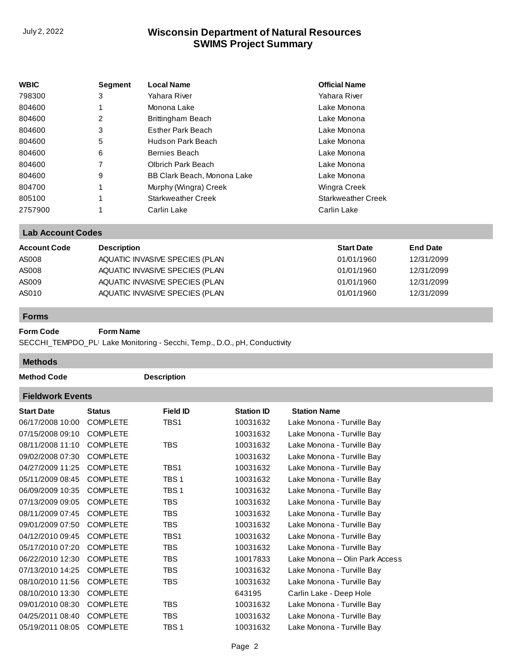# **SWIMS Project Summary** July 2, 2022 **Wisconsin Department of Natural Resources**

| <b>WBIC</b> | <b>Segment</b> | <b>Local Name</b>           | <b>Official Name</b>      |
|-------------|----------------|-----------------------------|---------------------------|
| 798300      | 3              | Yahara River                | Yahara River              |
| 804600      | 1              | Monona Lake                 | Lake Monona               |
| 804600      | 2              | Brittingham Beach           | Lake Monona               |
| 804600      | 3              | Esther Park Beach           | Lake Monona               |
| 804600      | 5              | Hudson Park Beach           | Lake Monona               |
| 804600      | 6              | Bernies Beach               | Lake Monona               |
| 804600      | 7              | Olbrich Park Beach          | Lake Monona               |
| 804600      | 9              | BB Clark Beach, Monona Lake | Lake Monona               |
| 804700      | 1              | Murphy (Wingra) Creek       | Wingra Creek              |
| 805100      |                | <b>Starkweather Creek</b>   | <b>Starkweather Creek</b> |
| 2757900     |                | Carlin Lake                 | Carlin Lake               |

### **Lab Account Codes**

| <b>Account Code</b> | <b>Description</b>             | <b>Start Date</b> | <b>End Date</b> |
|---------------------|--------------------------------|-------------------|-----------------|
| AS008               | AQUATIC INVASIVE SPECIES (PLAN | 01/01/1960        | 12/31/2099      |
| AS008               | AQUATIC INVASIVE SPECIES (PLAN | 01/01/1960        | 12/31/2099      |
| AS009               | AQUATIC INVASIVE SPECIES (PLAN | 01/01/1960        | 12/31/2099      |
| AS010               | AQUATIC INVASIVE SPECIES (PLAN | 01/01/1960        | 12/31/2099      |

#### **Forms**

#### **Form Code Form Name**

SECCHI\_TEMPDO\_PLI Lake Monitoring - Secchi, Temp., D.O., pH, Conductivity

**Methods**

n.

**Method Code Description** 

| <b>Fieldwork Events</b> |                 |                 |                   |                                 |  |  |  |
|-------------------------|-----------------|-----------------|-------------------|---------------------------------|--|--|--|
| <b>Start Date</b>       | <b>Status</b>   | <b>Field ID</b> | <b>Station ID</b> | <b>Station Name</b>             |  |  |  |
| 06/17/2008 10:00        | <b>COMPLETE</b> | TBS1            | 10031632          | Lake Monona - Turville Bay      |  |  |  |
| 07/15/2008 09:10        | <b>COMPLETE</b> |                 | 10031632          | Lake Monona - Turville Bay      |  |  |  |
| 08/11/2008 11:10        | <b>COMPLETE</b> | TBS             | 10031632          | Lake Monona - Turville Bay      |  |  |  |
| 09/02/2008 07:30        | <b>COMPLETE</b> |                 | 10031632          | Lake Monona - Turville Bay      |  |  |  |
| 04/27/2009 11:25        | <b>COMPLETE</b> | TBS1            | 10031632          | Lake Monona - Turville Bay      |  |  |  |
| 05/11/2009 08:45        | <b>COMPLETE</b> | TBS 1           | 10031632          | Lake Monona - Turville Bay      |  |  |  |
| 06/09/2009 10:35        | <b>COMPLETE</b> | TBS 1           | 10031632          | Lake Monona - Turville Bay      |  |  |  |
| 07/13/2009 09:05        | <b>COMPLETE</b> | TBS.            | 10031632          | Lake Monona - Turville Bay      |  |  |  |
| 08/11/2009 07:45        | <b>COMPLETE</b> | TBS             | 10031632          | Lake Monona - Turville Bay      |  |  |  |
| 09/01/2009 07:50        | <b>COMPLETE</b> | TBS             | 10031632          | Lake Monona - Turville Bay      |  |  |  |
| 04/12/2010 09:45        | <b>COMPLETE</b> | TBS1            | 10031632          | Lake Monona - Turville Bay      |  |  |  |
| 05/17/2010 07:20        | <b>COMPLETE</b> | TBS.            | 10031632          | Lake Monona - Turville Bay      |  |  |  |
| 06/22/2010 12:30        | <b>COMPLETE</b> | TBS             | 10017833          | Lake Monona -- Olin Park Access |  |  |  |
| 07/13/2010 14:25        | <b>COMPLETE</b> | TBS             | 10031632          | Lake Monona - Turville Bay      |  |  |  |
| 08/10/2010 11:56        | <b>COMPLETE</b> | TBS             | 10031632          | Lake Monona - Turville Bay      |  |  |  |
| 08/10/2010 13:30        | <b>COMPLETE</b> |                 | 643195            | Carlin Lake - Deep Hole         |  |  |  |
| 09/01/2010 08:30        | <b>COMPLETE</b> | TBS             | 10031632          | Lake Monona - Turville Bay      |  |  |  |
| 04/25/2011 08:40        | <b>COMPLETE</b> | TBS             | 10031632          | Lake Monona - Turville Bay      |  |  |  |
| 05/19/2011 08:05        | <b>COMPLETE</b> | TBS 1           | 10031632          | Lake Monona - Turville Bay      |  |  |  |